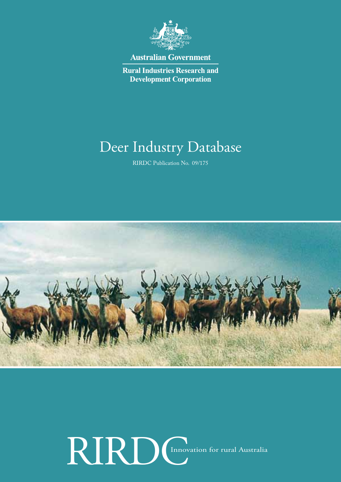

**Australian Government** 

**Rural Industries Research and Development Corporation** 

## Deer Industry Database

RIRDC Publication No. 09/175



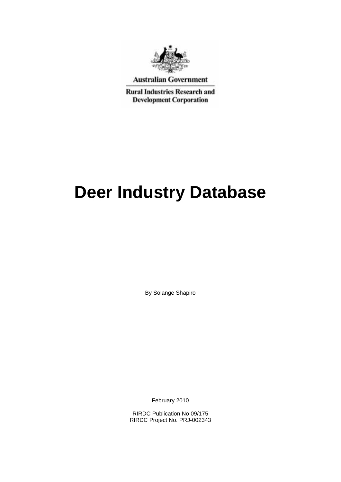

**Australian Government** 

**Rural Industries Research and Development Corporation** 

# **Deer Industry Database**

By Solange Shapiro

February 2010

RIRDC Publication No 09/175 RIRDC Project No. PRJ-002343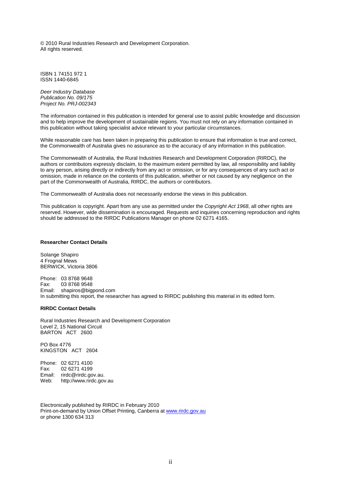© 2010 Rural Industries Research and Development Corporation. All rights reserved.

ISBN 1 74151 972 1 ISSN 1440-6845

*Deer Industry Database Publication No. 09/175 Project No. PRJ-002343*

The information contained in this publication is intended for general use to assist public knowledge and discussion and to help improve the development of sustainable regions. You must not rely on any information contained in this publication without taking specialist advice relevant to your particular circumstances.

While reasonable care has been taken in preparing this publication to ensure that information is true and correct, the Commonwealth of Australia gives no assurance as to the accuracy of any information in this publication.

The Commonwealth of Australia, the Rural Industries Research and Development Corporation (RIRDC), the authors or contributors expressly disclaim, to the maximum extent permitted by law, all responsibility and liability to any person, arising directly or indirectly from any act or omission, or for any consequences of any such act or omission, made in reliance on the contents of this publication, whether or not caused by any negligence on the part of the Commonwealth of Australia, RIRDC, the authors or contributors.

The Commonwealth of Australia does not necessarily endorse the views in this publication.

This publication is copyright. Apart from any use as permitted under the *Copyright Act 1968*, all other rights are reserved. However, wide dissemination is encouraged. Requests and inquiries concerning reproduction and rights should be addressed to the RIRDC Publications Manager on phone 02 6271 4165.

#### **Researcher Contact Details**

Solange Shapiro 4 Frognal Mews BERWICK, Victoria 3806

Phone: 03 8768 9648<br>Fax: 03 8768 9548 03 8768 9548 Email: shapiros@bigpond.com In submitting this report, the researcher has agreed to RIRDC publishing this material in its edited form.

#### **RIRDC Contact Details**

Rural Industries Research and Development Corporation Level 2, 15 National Circuit BARTON ACT 2600

PO Box 4776 KINGSTON ACT 2604

Phone: 02 6271 4100 Fax: 02 6271 4199 Email: rirdc@rirdc.gov.au.<br>Web: http://www.rirdc.gov http://www.rirdc.gov.au

Electronically published by RIRDC in February 2010 Print-on-demand by Union Offset Printing, Canberra at [www.rirdc.gov.au](http://www.rirdc.gov.au/)  or phone 1300 634 313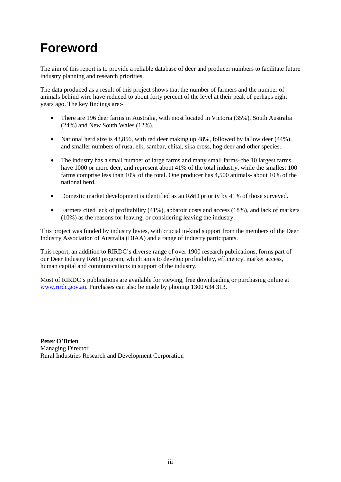## **Foreword**

The aim of this report is to provide a reliable database of deer and producer numbers to facilitate future industry planning and research priorities.

The data produced as a result of this project shows that the number of farmers and the number of animals behind wire have reduced to about forty percent of the level at their peak of perhaps eight years ago. The key findings are:-

- There are 196 deer farms in Australia, with most located in Victoria (35%), South Australia (24%) and New South Wales (12%).
- National herd size is 43,856, with red deer making up 48%, followed by fallow deer (44%), and smaller numbers of rusa, elk, sambar, chital, sika cross, hog deer and other species.
- The industry has a small number of large farms and many small farms- the 10 largest farms have 1000 or more deer, and represent about 41% of the total industry, while the smallest 100 farms comprise less than 10% of the total. One producer has 4,500 animals- about 10% of the national herd.
- Domestic market development is identified as an R&D priority by 41% of those surveyed.
- Farmers cited lack of profitability (41%), abbatoir costs and access (18%), and lack of markets (10%) as the reasons for leaving, or considering leaving the industry.

This project was funded by industry levies, with crucial in-kind support from the members of the Deer Industry Association of Australia (DIAA) and a range of industry participants.

This report, an addition to RIRDC's diverse range of over 1900 research publications, forms part of our Deer Industry R&D program, which aims to develop profitability, efficiency, market access, human capital and communications in support of the industry.

Most of RIRDC's publications are available for viewing, free downloading or purchasing online at [www.rirdc.gov.au.](http://www.rirdc.gov.au/) Purchases can also be made by phoning 1300 634 313.

**Peter O'Brien** Managing Director Rural Industries Research and Development Corporation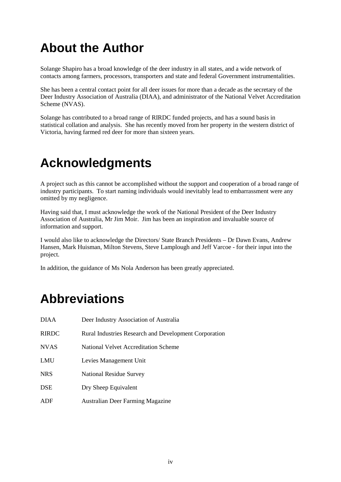## **About the Author**

Solange Shapiro has a broad knowledge of the deer industry in all states, and a wide network of contacts among farmers, processors, transporters and state and federal Government instrumentalities.

She has been a central contact point for all deer issues for more than a decade as the secretary of the Deer Industry Association of Australia (DIAA), and administrator of the National Velvet Accreditation Scheme (NVAS).

Solange has contributed to a broad range of RIRDC funded projects, and has a sound basis in statistical collation and analysis. She has recently moved from her property in the western district of Victoria, having farmed red deer for more than sixteen years.

### **Acknowledgments**

A project such as this cannot be accomplished without the support and cooperation of a broad range of industry participants. To start naming individuals would inevitably lead to embarrassment were any omitted by my negligence.

Having said that, I must acknowledge the work of the National President of the Deer Industry Association of Australia, Mr Jim Moir. Jim has been an inspiration and invaluable source of information and support.

I would also like to acknowledge the Directors/ State Branch Presidents – Dr Dawn Evans, Andrew Hansen, Mark Huisman, Milton Stevens, Steve Lamplough and Jeff Varcoe - for their input into the project.

In addition, the guidance of Ms Nola Anderson has been greatly appreciated.

### **Abbreviations**

| <b>DIAA</b>  | Deer Industry Association of Australia                       |
|--------------|--------------------------------------------------------------|
| <b>RIRDC</b> | <b>Rural Industries Research and Development Corporation</b> |
| <b>NVAS</b>  | National Velvet Accreditation Scheme                         |
| LMU          | Levies Management Unit                                       |
| <b>NRS</b>   | National Residue Survey                                      |
| <b>DSE</b>   | Dry Sheep Equivalent                                         |
| ADF          | <b>Australian Deer Farming Magazine</b>                      |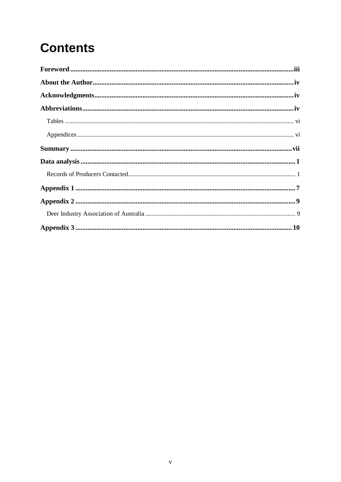## **Contents**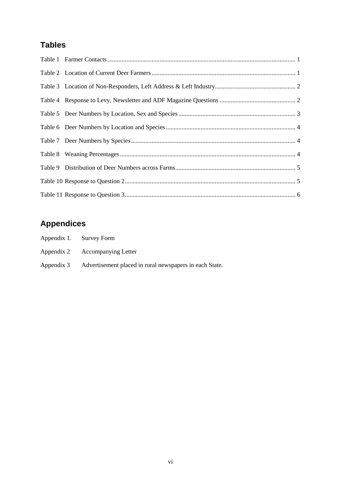### **Tables**

### **Appendices**

| Appendix 1. Survey Form                                            |
|--------------------------------------------------------------------|
| Appendix 2 Accompanying Letter                                     |
| Appendix 3 Advertisement placed in rural newspapers in each State. |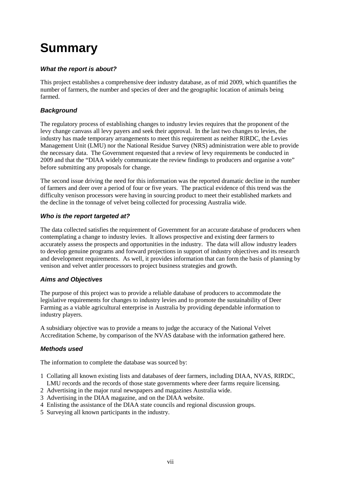## **Summary**

#### *What the report is about?*

This project establishes a comprehensive deer industry database, as of mid 2009, which quantifies the number of farmers, the number and species of deer and the geographic location of animals being farmed.

#### *Background*

The regulatory process of establishing changes to industry levies requires that the proponent of the levy change canvass all levy payers and seek their approval. In the last two changes to levies, the industry has made temporary arrangements to meet this requirement as neither RlRDC, the Levies Management Unit (LMU) nor the National Residue Survey (NRS) administration were able to provide the necessary data. The Government requested that a review of levy requirements be conducted in 2009 and that the "DIAA widely communicate the review findings to producers and organise a vote" before submitting any proposals for change.

The second issue driving the need for this information was the reported dramatic decline in the number of farmers and deer over a period of four or five years. The practical evidence of this trend was the difficulty venison processors were having in sourcing product to meet their established markets and the decline in the tonnage of velvet being collected for processing Australia wide.

#### *Who is the report targeted at?*

The data collected satisfies the requirement of Government for an accurate database of producers when contemplating a change to industry levies. It allows prospective and existing deer farmers to accurately assess the prospects and opportunities in the industry. The data will allow industry leaders to develop genuine programs and forward projections in support of industry objectives and its research and development requirements. As well, it provides information that can form the basis of planning by venison and velvet antler processors to project business strategies and growth.

#### *Aims and Objectives*

The purpose of this project was to provide a reliable database of producers to accommodate the legislative requirements for changes to industry levies and to promote the sustainability of Deer Farming as a viable agricultural enterprise in Australia by providing dependable information to industry players.

A subsidiary objective was to provide a means to judge the accuracy of the National Velvet Accreditation Scheme, by comparison of the NVAS database with the information gathered here.

#### *Methods used*

The information to complete the database was sourced by:

- 1 Collating all known existing lists and databases of deer farmers, including DIAA, NVAS, RIRDC, LMU records and the records of those state governments where deer farms require licensing.
- 2 Advertising in the major rural newspapers and magazines Australia wide.
- 3 Advertising in the DIAA magazine, and on the DIAA website.
- 4 Enlisting the assistance of the DIAA state councils and regional discussion groups.
- 5 Surveying all known participants in the industry.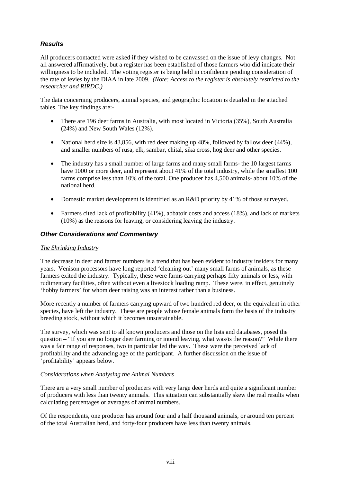#### *Results*

All producers contacted were asked if they wished to be canvassed on the issue of levy changes. Not all answered affirmatively, but a register has been established of those farmers who did indicate their willingness to be included. The voting register is being held in confidence pending consideration of the rate of levies by the DIAA in late 2009. *(Note: Access to the register is absolutely restricted to the researcher and RIRDC.)*

The data concerning producers, animal species, and geographic location is detailed in the attached tables. The key findings are:-

- There are 196 deer farms in Australia, with most located in Victoria (35%), South Australia (24%) and New South Wales (12%).
- National herd size is 43,856, with red deer making up 48%, followed by fallow deer (44%), and smaller numbers of rusa, elk, sambar, chital, sika cross, hog deer and other species.
- The industry has a small number of large farms and many small farms- the 10 largest farms have 1000 or more deer, and represent about 41% of the total industry, while the smallest 100 farms comprise less than 10% of the total. One producer has 4,500 animals- about 10% of the national herd.
- Domestic market development is identified as an R&D priority by 41% of those surveyed.
- Farmers cited lack of profitability (41%), abbatoir costs and access (18%), and lack of markets (10%) as the reasons for leaving, or considering leaving the industry.

#### *Other Considerations and Commentary*

#### *The Shrinking Industry*

The decrease in deer and farmer numbers is a trend that has been evident to industry insiders for many years. Venison processors have long reported 'cleaning out' many small farms of animals, as these farmers exited the industry. Typically, these were farms carrying perhaps fifty animals or less, with rudimentary facilities, often without even a livestock loading ramp. These were, in effect, genuinely 'hobby farmers' for whom deer raising was an interest rather than a business.

More recently a number of farmers carrying upward of two hundred red deer, or the equivalent in other species, have left the industry. These are people whose female animals form the basis of the industry breeding stock, without which it becomes unsustainable.

The survey, which was sent to all known producers and those on the lists and databases, posed the question – "If you are no longer deer farming or intend leaving, what was/is the reason?" While there was a fair range of responses, two in particular led the way. These were the perceived lack of profitability and the advancing age of the participant. A further discussion on the issue of 'profitability' appears below.

#### *Considerations when Analysing the Animal Numbers*

There are a very small number of producers with very large deer herds and quite a significant number of producers with less than twenty animals. This situation can substantially skew the real results when calculating percentages or averages of animal numbers.

Of the respondents, one producer has around four and a half thousand animals, or around ten percent of the total Australian herd, and forty-four producers have less than twenty animals.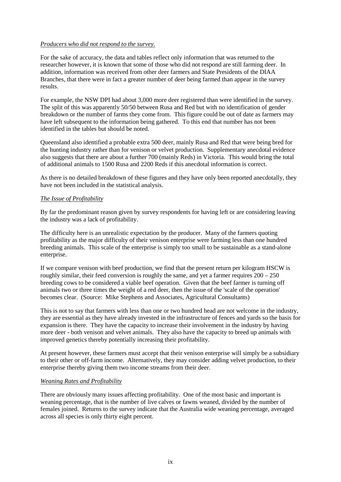#### *Producers who did not respond to the survey.*

For the sake of accuracy, the data and tables reflect only information that was returned to the researcher however, it is known that some of those who did not respond are still farming deer. In addition, information was received from other deer farmers and State Presidents of the DIAA Branches, that there were in fact a greater number of deer being farmed than appear in the survey results.

For example, the NSW DPI had about 3,000 more deer registered than were identified in the survey. The split of this was apparently 50/50 between Rusa and Red but with no identification of gender breakdown or the number of farms they come from. This figure could be out of date as farmers may have left subsequent to the information being gathered. To this end that number has not been identified in the tables but should be noted.

Queensland also identified a probable extra 500 deer, mainly Rusa and Red that were being bred for the hunting industry rather than for venison or velvet production. Supplementary anecdotal evidence also suggests that there are about a further 700 (mainly Reds) in Victoria. This would bring the total of additional animals to 1500 Rusa and 2200 Reds if this anecdotal information is correct.

As there is no detailed breakdown of these figures and they have only been reported anecdotally, they have not been included in the statistical analysis.

#### *The Issue of Profitability*

By far the predominant reason given by survey respondents for having left or are considering leaving the industry was a lack of profitability.

The difficulty here is an unrealistic expectation by the producer. Many of the farmers quoting profitability as the major difficulty of their venison enterprise were farming less than one hundred breeding animals. This scale of the enterprise is simply too small to be sustainable as a stand-alone enterprise.

If we compare venison with beef production, we find that the present return per kilogram HSCW is roughly similar, their feed conversion is roughly the same, and yet a farmer requires  $200 - 250$ breeding cows to be considered a viable beef operation. Given that the beef farmer is turning off animals two or three times the weight of a red deer, then the issue of the 'scale of the operation' becomes clear. (Source: Mike Stephens and Associates, Agricultural Consultants)

This is not to say that farmers with less than one or two hundred head are not welcome in the industry, they are essential as they have already invested in the infrastructure of fences and yards so the basis for expansion is there. They have the capacity to increase their involvement in the industry by having more deer - both venison and velvet animals. They also have the capacity to breed up animals with improved genetics thereby potentially increasing their profitability.

At present however, these farmers must accept that their venison enterprise will simply be a subsidiary to their other or off-farm income. Alternatively, they may consider adding velvet production, to their enterprise thereby giving them two income streams from their deer.

#### *Weaning Rates and Profitability*

There are obviously many issues affecting profitability. One of the most basic and important is weaning percentage, that is the number of live calves or fawns weaned, divided by the number of females joined. Returns to the survey indicate that the Australia wide weaning percentage, averaged across all species is only thirty eight percent.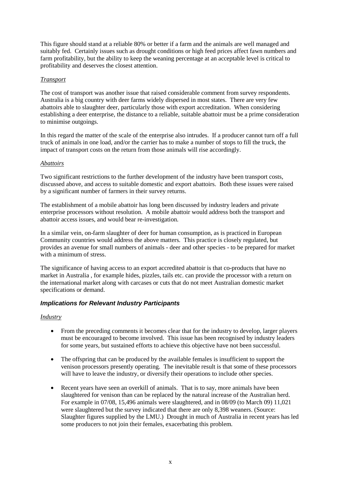This figure should stand at a reliable 80% or better if a farm and the animals are well managed and suitably fed. Certainly issues such as drought conditions or high feed prices affect fawn numbers and farm profitability, but the ability to keep the weaning percentage at an acceptable level is critical to profitability and deserves the closest attention.

#### *Transport*

The cost of transport was another issue that raised considerable comment from survey respondents. Australia is a big country with deer farms widely dispersed in most states. There are very few abattoirs able to slaughter deer, particularly those with export accreditation. When considering establishing a deer enterprise, the distance to a reliable, suitable abattoir must be a prime consideration to minimise outgoings.

In this regard the matter of the scale of the enterprise also intrudes. If a producer cannot turn off a full truck of animals in one load, and/or the carrier has to make a number of stops to fill the truck, the impact of transport costs on the return from those animals will rise accordingly.

#### *Abattoirs*

Two significant restrictions to the further development of the industry have been transport costs, discussed above, and access to suitable domestic and export abattoirs. Both these issues were raised by a significant number of farmers in their survey returns.

The establishment of a mobile abattoir has long been discussed by industry leaders and private enterprise processors without resolution. A mobile abattoir would address both the transport and abattoir access issues, and would bear re-investigation.

In a similar vein, on-farm slaughter of deer for human consumption, as is practiced in European Community countries would address the above matters. This practice is closely regulated, but provides an avenue for small numbers of animals - deer and other species - to be prepared for market with a minimum of stress.

The significance of having access to an export accredited abattoir is that co-products that have no market in Australia , for example hides, pizzles, tails etc. can provide the processor with a return on the international market along with carcases or cuts that do not meet Australian domestic market specifications or demand.

#### *Implications for Relevant Industry Participants*

#### *Industry*

- From the preceding comments it becomes clear that for the industry to develop, larger players must be encouraged to become involved. This issue has been recognised by industry leaders for some years, but sustained efforts to achieve this objective have not been successful.
- The offspring that can be produced by the available females is insufficient to support the venison processors presently operating. The inevitable result is that some of these processors will have to leave the industry, or diversify their operations to include other species.
- Recent years have seen an overkill of animals. That is to say, more animals have been slaughtered for venison than can be replaced by the natural increase of the Australian herd. For example in 07/08, 15,496 animals were slaughtered, and in 08/09 (to March 09) 11,021 were slaughtered but the survey indicated that there are only 8,398 weaners. (Source: Slaughter figures supplied by the LMU.) Drought in much of Australia in recent years has led some producers to not join their females, exacerbating this problem.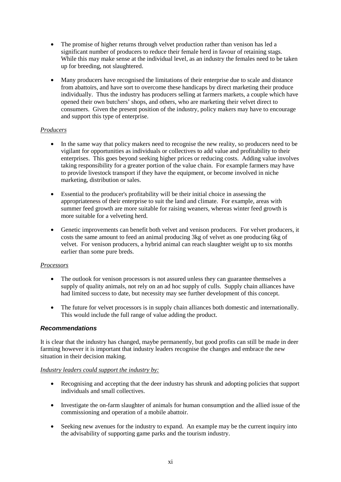- The promise of higher returns through velvet production rather than venison has led a significant number of producers to reduce their female herd in favour of retaining stags. While this may make sense at the individual level, as an industry the females need to be taken up for breeding, not slaughtered.
- Many producers have recognised the limitations of their enterprise due to scale and distance from abattoirs, and have sort to overcome these handicaps by direct marketing their produce individually. Thus the industry has producers selling at farmers markets, a couple which have opened their own butchers' shops, and others, who are marketing their velvet direct to consumers. Given the present position of the industry, policy makers may have to encourage and support this type of enterprise.

#### *Producers*

- In the same way that policy makers need to recognise the new reality, so producers need to be vigilant for opportunities as individuals or collectives to add value and profitability to their enterprises. This goes beyond seeking higher prices or reducing costs. Adding value involves taking responsibility for a greater portion of the value chain. For example farmers may have to provide livestock transport if they have the equipment, or become involved in niche marketing, distribution or sales.
- Essential to the producer's profitability will be their initial choice in assessing the appropriateness of their enterprise to suit the land and climate. For example, areas with summer feed growth are more suitable for raising weaners, whereas winter feed growth is more suitable for a velveting herd.
- Genetic improvements can benefit both velvet and venison producers. For velvet producers, it costs the same amount to feed an animal producing 3kg of velvet as one producing 6kg of velvet. For venison producers, a hybrid animal can reach slaughter weight up to six months earlier than some pure breds.

#### *Processors*

- The outlook for venison processors is not assured unless they can guarantee themselves a supply of quality animals, not rely on an ad hoc supply of culls. Supply chain alliances have had limited success to date, but necessity may see further development of this concept.
- The future for velvet processors is in supply chain alliances both domestic and internationally. This would include the full range of value adding the product.

#### *Recommendations*

It is clear that the industry has changed, maybe permanently, but good profits can still be made in deer farming however it is important that industry leaders recognise the changes and embrace the new situation in their decision making.

#### *Industry leaders could support the industry by:*

- Recognising and accepting that the deer industry has shrunk and adopting policies that support individuals and small collectives.
- Investigate the on-farm slaughter of animals for human consumption and the allied issue of the commissioning and operation of a mobile abattoir.
- Seeking new avenues for the industry to expand. An example may be the current inquiry into the advisability of supporting game parks and the tourism industry.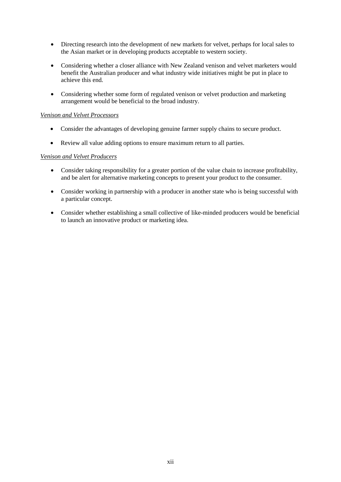- Directing research into the development of new markets for velvet, perhaps for local sales to the Asian market or in developing products acceptable to western society.
- Considering whether a closer alliance with New Zealand venison and velvet marketers would benefit the Australian producer and what industry wide initiatives might be put in place to achieve this end.
- Considering whether some form of regulated venison or velvet production and marketing arrangement would be beneficial to the broad industry.

#### *Venison and Velvet Processors*

- Consider the advantages of developing genuine farmer supply chains to secure product.
- Review all value adding options to ensure maximum return to all parties.

#### *Venison and Velvet Producers*

- Consider taking responsibility for a greater portion of the value chain to increase profitability, and be alert for alternative marketing concepts to present your product to the consumer.
- Consider working in partnership with a producer in another state who is being successful with a particular concept.
- Consider whether establishing a small collective of like-minded producers would be beneficial to launch an innovative product or marketing idea.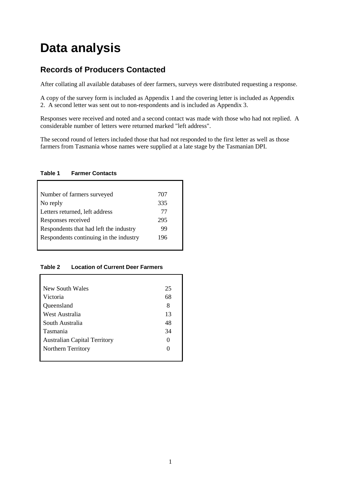### **Data analysis**

### **Records of Producers Contacted**

After collating all available databases of deer farmers, surveys were distributed requesting a response.

A copy of the survey form is included as Appendix 1 and the covering letter is included as Appendix 2. A second letter was sent out to non-respondents and is included as Appendix 3.

Responses were received and noted and a second contact was made with those who had not replied. A considerable number of letters were returned marked "left address".

The second round of letters included those that had not responded to the first letter as well as those farmers from Tasmania whose names were supplied at a late stage by the Tasmanian DPI.

#### <span id="page-14-0"></span>**Table 1 Farmer Contacts**

| Number of farmers surveyed             | 707 |
|----------------------------------------|-----|
| No reply                               | 335 |
| Letters returned, left address         | 77  |
| Responses received                     | 295 |
| Respondents that had left the industry | 99  |
| Respondents continuing in the industry | 196 |
|                                        |     |

#### <span id="page-14-1"></span>**Table 2 Location of Current Deer Farmers**

| New South Wales                     | 25                |
|-------------------------------------|-------------------|
| Victoria                            | 68                |
| Queensland                          | 8                 |
| West Australia                      | 13                |
| South Australia                     | 48                |
| Tasmania                            | 34                |
| <b>Australian Capital Territory</b> | 0                 |
| Northern Territory                  | $\mathbf{\Omega}$ |
|                                     |                   |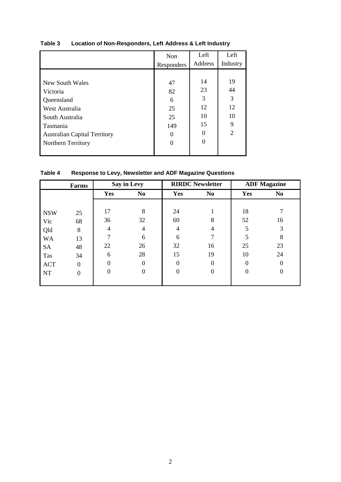|                                     | Non        | Left    | Left           |
|-------------------------------------|------------|---------|----------------|
|                                     | Responders | Address | Industry       |
|                                     |            |         |                |
| New South Wales                     | 47         | 14      | 19             |
| Victoria                            | 82         | 23      | 44             |
| Queensland                          | 6          | 3       | 3              |
| West Australia                      | 25         | 12      | 12             |
| South Australia                     | 25         | 10      | 10             |
| Tasmania                            | 149        | 15      | 9              |
| <b>Australian Capital Territory</b> | 0          | 0       | $\overline{2}$ |
| <b>Northern Territory</b>           | 0          | 0       |                |
|                                     |            |         |                |

#### <span id="page-15-0"></span>**Table 3 Location of Non-Responders, Left Address & Left Industry**

<span id="page-15-1"></span>**Table 4 Response to Levy, Newsletter and ADF Magazine Questions** 

|            | Farms          |     | Say in Levy    |          | <b>RIRDC Newsletter</b> |          | <b>ADF Magazine</b> |
|------------|----------------|-----|----------------|----------|-------------------------|----------|---------------------|
|            |                | Yes | N <sub>0</sub> | Yes      | N <sub>0</sub>          | Yes      | N <sub>0</sub>      |
|            |                |     |                |          |                         |          |                     |
| <b>NSW</b> | 25             | 17  | 8              | 24       |                         | 18       |                     |
| Vic        | 68             | 36  | 32             | 60       | 8                       | 52       | 16                  |
| Qld        | 8              | 4   | 4              |          | 4                       | 5        | 3                   |
| <b>WA</b>  | 13             |     | 6              | 6        |                         | 5        | 8                   |
| <b>SA</b>  | 48             | 22  | 26             | 32       | 16                      | 25       | 23                  |
| Tas        | 34             | 6   | 28             | 15       | 19                      | 10       | 24                  |
| <b>ACT</b> | $\theta$       |     | $\Omega$       | $\Omega$ | $\Omega$                | $\Omega$ | $\Omega$            |
| <b>NT</b>  | $\overline{0}$ |     | $\Omega$       | $\Omega$ | $\Omega$                | $\theta$ | $\theta$            |
|            |                |     |                |          |                         |          |                     |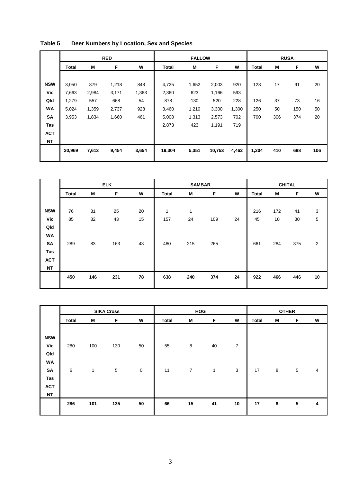|            |              |       | <b>RED</b> |       | <b>FALLOW</b> |       |        |       | <b>RUSA</b>  |     |     |     |
|------------|--------------|-------|------------|-------|---------------|-------|--------|-------|--------------|-----|-----|-----|
|            | <b>Total</b> | М     | F          | W     | <b>Total</b>  | M     | F      | W     | <b>Total</b> | M   | F   | W   |
|            |              |       |            |       |               |       |        |       |              |     |     |     |
| <b>NSW</b> | 3,050        | 879   | 1,218      | 848   | 4,725         | 1,652 | 2,003  | 920   | 128          | 17  | 91  | 20  |
| Vic        | 7,663        | 2,984 | 3,171      | 1,363 | 2,360         | 623   | 1,166  | 593   |              |     |     |     |
| Qld        | 1,279        | 557   | 668        | 54    | 878           | 130   | 520    | 228   | 126          | 37  | 73  | 16  |
| WA         | 5,024        | 1,359 | 2,737      | 928   | 3,460         | 1,210 | 3,300  | 1,300 | 250          | 50  | 150 | 50  |
| <b>SA</b>  | 3,953        | 1,834 | 1,660      | 461   | 5,008         | 1,313 | 2,573  | 702   | 700          | 306 | 374 | 20  |
| Tas        |              |       |            |       | 2,873         | 423   | 1,191  | 719   |              |     |     |     |
| <b>ACT</b> |              |       |            |       |               |       |        |       |              |     |     |     |
| <b>NT</b>  |              |       |            |       |               |       |        |       |              |     |     |     |
|            | 20,969       | 7,613 | 9,454      | 3,654 | 19,304        | 5,351 | 10,753 | 4,462 | 1,204        | 410 | 688 | 106 |
|            |              |       |            |       |               |       |        |       |              |     |     |     |

#### <span id="page-16-0"></span>**Table 5 Deer Numbers by Location, Sex and Species**

|            |              |     | <b>ELK</b> |    |              | <b>SAMBAR</b> |     |    |              | <b>CHITAL</b> |     |    |  |
|------------|--------------|-----|------------|----|--------------|---------------|-----|----|--------------|---------------|-----|----|--|
|            | <b>Total</b> | M   | F          | W  | <b>Total</b> | M             | F   | W  | <b>Total</b> | M             | F   | W  |  |
|            |              |     |            |    |              |               |     |    |              |               |     |    |  |
| <b>NSW</b> | 76           | 31  | 25         | 20 | 1            | 1             |     |    | 216          | 172           | 41  | 3  |  |
| Vic        | 85           | 32  | 43         | 15 | 157          | 24            | 109 | 24 | 45           | 10            | 30  | 5  |  |
| Qld        |              |     |            |    |              |               |     |    |              |               |     |    |  |
| <b>WA</b>  |              |     |            |    |              |               |     |    |              |               |     |    |  |
| SA         | 289          | 83  | 163        | 43 | 480          | 215           | 265 |    | 661          | 284           | 375 | 2  |  |
| Tas        |              |     |            |    |              |               |     |    |              |               |     |    |  |
| <b>ACT</b> |              |     |            |    |              |               |     |    |              |               |     |    |  |
| <b>NT</b>  |              |     |            |    |              |               |     |    |              |               |     |    |  |
|            | 450          | 146 | 231        | 78 | 638          | 240           | 374 | 24 | 922          | 466           | 446 | 10 |  |
|            |              |     |            |    |              |               |     |    |              |               |     |    |  |

|            |              |     | <b>SIKA Cross</b> |           |              | HOG              |              |            |              | <b>OTHER</b> |            |                         |  |
|------------|--------------|-----|-------------------|-----------|--------------|------------------|--------------|------------|--------------|--------------|------------|-------------------------|--|
|            | <b>Total</b> | M   | F                 | W         | <b>Total</b> | M                | F            | W          | <b>Total</b> | M            | F          | W                       |  |
|            |              |     |                   |           |              |                  |              |            |              |              |            |                         |  |
| <b>NSW</b> |              |     |                   |           |              |                  |              |            |              |              |            |                         |  |
| Vic        | 280          | 100 | 130               | 50        | 55           | 8                | $40\,$       | 7          |              |              |            |                         |  |
| Qld        |              |     |                   |           |              |                  |              |            |              |              |            |                         |  |
| WA         |              |     |                   |           |              |                  |              |            |              |              |            |                         |  |
| SA         | 6            | 1   | $\,$ 5 $\,$       | $\pmb{0}$ | 11           | $\boldsymbol{7}$ | $\mathbf{1}$ | $\sqrt{3}$ | 17           | 8            | $\sqrt{5}$ | $\overline{\mathbf{4}}$ |  |
| Tas        |              |     |                   |           |              |                  |              |            |              |              |            |                         |  |
| <b>ACT</b> |              |     |                   |           |              |                  |              |            |              |              |            |                         |  |
| <b>NT</b>  |              |     |                   |           |              |                  |              |            |              |              |            |                         |  |
|            | 286          | 101 | 135               | 50        | 66           | 15               | 41           | 10         | 17           | 8            | ${\bf 5}$  | 4                       |  |
|            |              |     |                   |           |              |                  |              |            |              |              |            |                         |  |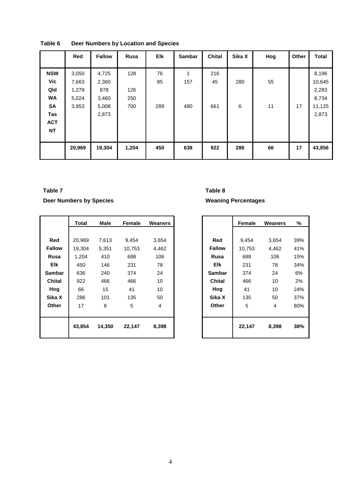|            | Red    | <b>Fallow</b> | Rusa  | <b>Elk</b> | <b>Sambar</b> | <b>Chital</b> | Sika X | Hog | Other | <b>Total</b> |
|------------|--------|---------------|-------|------------|---------------|---------------|--------|-----|-------|--------------|
|            |        |               |       |            |               |               |        |     |       |              |
| <b>NSW</b> | 3,050  | 4,725         | 128   | 76         | 1             | 216           |        |     |       | 8,196        |
| Vic        | 7,663  | 2,360         |       | 85         | 157           | 45            | 280    | 55  |       | 10,645       |
| Qld        | 1,279  | 878           | 126   |            |               |               |        |     |       | 2,283        |
| <b>WA</b>  | 5,024  | 3,460         | 250   |            |               |               |        |     |       | 8,734        |
| SA         | 3,953  | 5,008         | 700   | 289        | 480           | 661           | 6      | 11  | 17    | 11,125       |
| Tas        |        | 2,873         |       |            |               |               |        |     |       | 2,873        |
| <b>ACT</b> |        |               |       |            |               |               |        |     |       |              |
| <b>NT</b>  |        |               |       |            |               |               |        |     |       |              |
|            |        |               |       |            |               |               |        |     |       |              |
|            | 20,969 | 19,304        | 1,204 | 450        | 638           | 922           | 286    | 66  | 17    | 43,856       |
|            |        |               |       |            |               |               |        |     |       |              |

<span id="page-17-0"></span>**Table 6 Deer Numbers by Location and Species**

#### <span id="page-17-1"></span>**Table 7**

#### **Deer Numbers by Species**

|               | Total  | Male   | Female | <b>Weaners</b> |               | Female | <b>Weaners</b> | %   |
|---------------|--------|--------|--------|----------------|---------------|--------|----------------|-----|
|               |        |        |        |                |               |        |                |     |
| Red           | 20,969 | 7,613  | 9,454  | 3,654          | Red           | 9,454  | 3,654          | 39% |
| <b>Fallow</b> | 19,304 | 5,351  | 10,753 | 4,462          | <b>Fallow</b> | 10,753 | 4,462          | 41% |
| Rusa          | 1,204  | 410    | 688    | 106            | <b>Rusa</b>   | 688    | 106            | 15% |
| <b>Elk</b>    | 450    | 146    | 231    | 78             | <b>Elk</b>    | 231    | 78             | 34% |
| <b>Sambar</b> | 636    | 240    | 374    | 24             | <b>Sambar</b> | 374    | 24             | 6%  |
| <b>Chital</b> | 922    | 466    | 466    | 10             | <b>Chital</b> | 466    | 10             | 2%  |
| Hog           | 66     | 15     | 41     | 10             | Hog           | 41     | 10             | 24% |
| Sika X        | 286    | 101    | 135    | 50             | Sika X        | 135    | 50             | 37% |
| Other         | 17     | 8      | 5      | 4              | Other         | 5      | 4              | 80% |
|               | 43,854 | 14,350 | 22,147 | 8,398          |               | 22,147 | 8,398          | 38% |

### <span id="page-17-2"></span>**Table 8**

#### **Weaning Percentages**

|               | <b>Female</b> | Weaners | ℅   |
|---------------|---------------|---------|-----|
|               |               |         |     |
| Red           | 9,454         | 3,654   | 39% |
| <b>Fallow</b> | 10,753        | 4,462   | 41% |
| Rusa          | 688           | 106     | 15% |
| Elk           | 231           | 78      | 34% |
| Sambar        | 374           | 24      | 6%  |
| Chital        | 466           | 10      | 2%  |
| Hog           | 41            | 10      | 24% |
| Sika X        | 135           | 50      | 37% |
| Other         | 5             | 4       | 80% |
|               |               |         |     |
|               | 22,147        | 8,398   | 38% |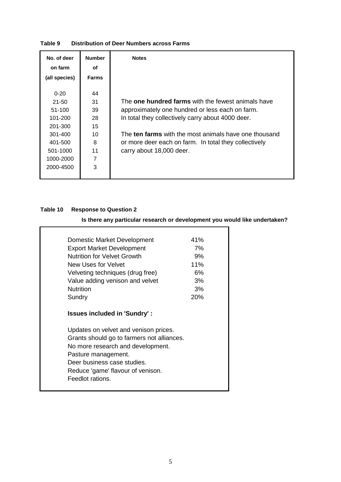| No. of deer   | <b>Number</b> | <b>Notes</b>                                              |
|---------------|---------------|-----------------------------------------------------------|
| on farm       | οf            |                                                           |
| (all species) | <b>Farms</b>  |                                                           |
|               |               |                                                           |
| $0 - 20$      | 44            |                                                           |
| $21 - 50$     | 31            | The <b>one hundred farms</b> with the fewest animals have |
| $51-100$      | 39            | approximately one hundred or less each on farm.           |
| 101-200       | 28            | In total they collectively carry about 4000 deer.         |
| 201-300       | 15            |                                                           |
| 301-400       | 10            | The ten farms with the most animals have one thousand     |
| 401-500       | 8             | or more deer each on farm. In total they collectively     |
| 501-1000      | 11            | carry about 18,000 deer.                                  |
| 1000-2000     | 7             |                                                           |
| 2000-4500     | 3             |                                                           |
|               |               |                                                           |

#### <span id="page-18-0"></span>**Table 9 Distribution of Deer Numbers across Farms**

#### <span id="page-18-1"></span>**Table 10 Response to Question 2**

#### **Is there any particular research or development you would like undertaken?**

| Domestic Market Development                                                         | 41% |
|-------------------------------------------------------------------------------------|-----|
| <b>Export Market Development</b>                                                    | 7%  |
| <b>Nutrition for Velvet Growth</b>                                                  | 9%  |
| New Uses for Velvet                                                                 | 11% |
| Velveting techniques (drug free)                                                    | 6%  |
| Value adding venison and velvet                                                     | 3%  |
| <b>Nutrition</b>                                                                    | 3%  |
| Sundry                                                                              | 20% |
|                                                                                     |     |
| <b>Issues included in 'Sundry':</b>                                                 |     |
|                                                                                     |     |
|                                                                                     |     |
| Updates on velvet and venison prices.<br>Grants should go to farmers not alliances. |     |
| No more research and development.                                                   |     |
| Pasture management.                                                                 |     |
| Deer business case studies.                                                         |     |
| Reduce 'game' flavour of venison.                                                   |     |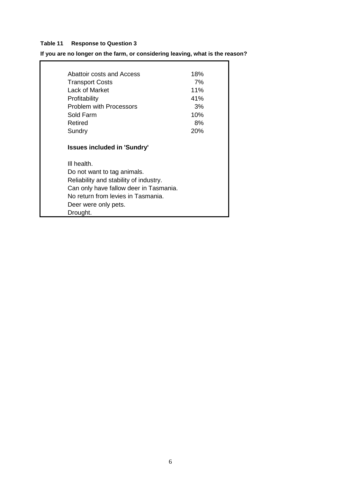#### <span id="page-19-0"></span>**Table 11 Response to Question 3**

### **If you are no longer on the farm, or considering leaving, what is the reason?**

÷.

| Abattoir costs and Access              | 18% |
|----------------------------------------|-----|
| <b>Transport Costs</b>                 | 7%  |
| Lack of Market                         | 11% |
| Profitability                          | 41% |
| <b>Problem with Processors</b>         | 3%  |
| Sold Farm                              | 10% |
| Retired                                | 8%  |
| Sundry                                 | 20% |
|                                        |     |
| III health.                            |     |
| Do not want to tag animals.            |     |
| Reliability and stability of industry. |     |
| Can only have fallow deer in Tasmania. |     |
| No return from levies in Tasmania.     |     |
| Deer were only pets.                   |     |
| Drought.                               |     |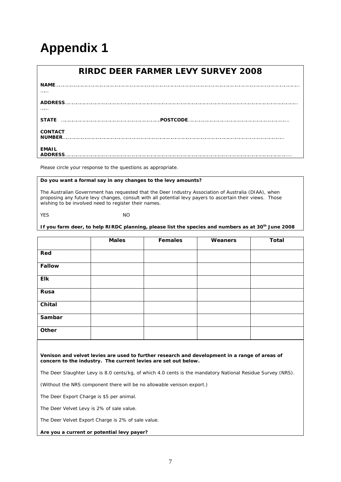## **Appendix 1**

|                                 | <b>RIRDC DEER FARMER LEVY SURVEY 2008</b> |
|---------------------------------|-------------------------------------------|
| <b>NAME</b>                     |                                           |
| <b>ADDRESS.</b>                 |                                           |
| .                               |                                           |
| <b>STATE</b>                    | .POSTCODE                                 |
| <b>CONTACT</b><br><b>NUMBER</b> |                                           |
| <b>EMAIL</b><br><b>ADDRESS</b>  |                                           |

*Please circle your response to the questions as appropriate.* 

#### **Do you want a formal say in any changes to the levy amounts?**

The Australian Government has requested that the Deer Industry Association of Australia (DIAA), when proposing any future levy changes, consult with all potential levy payers to ascertain their views. Those wishing to be involved need to register their names.

YES NO

**If you farm deer, to help RIRDC planning, please list the species and numbers as at 30th June 2008**

|               | <b>Males</b> | <b>Females</b> | Weaners | <b>Total</b> |
|---------------|--------------|----------------|---------|--------------|
| Red           |              |                |         |              |
| <b>Fallow</b> |              |                |         |              |
| <b>Elk</b>    |              |                |         |              |
| Rusa          |              |                |         |              |
| Chital        |              |                |         |              |
| Sambar        |              |                |         |              |
| Other         |              |                |         |              |

**Venison and velvet levies are used to further research and development in a range of areas of concern to the industry. The current levies are set out below.**

The Deer Slaughter Levy is 8.0 cents/kg, of which 4.0 cents is the mandatory National Residue Survey (NRS).

(Without the NRS component there will be no allowable venison export.)

The Deer Export Charge is \$5 per animal.

The Deer Velvet Levy is 2% of sale value.

The Deer Velvet Export Charge is 2% of sale value.

**Are you a current or potential levy payer?**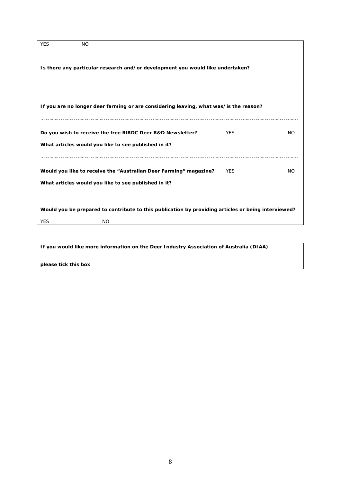| <b>YES</b> | <b>NO</b>                                                                                                                 |            |           |
|------------|---------------------------------------------------------------------------------------------------------------------------|------------|-----------|
|            | Is there any particular research and/or development you would like undertaken?                                            |            |           |
|            | If you are no longer deer farming or are considering leaving, what was/is the reason?                                     |            |           |
|            | Do you wish to receive the free RIRDC Deer R&D Newsletter?<br>What articles would you like to see published in it?        | <b>YES</b> | NO.       |
|            | Would you like to receive the "Australian Deer Farming" magazine?<br>What articles would you like to see published in it? | <b>YES</b> | <b>NO</b> |
|            | Would you be prepared to contribute to this publication by providing articles or being interviewed?                       |            |           |
| <b>YES</b> | <b>NO</b>                                                                                                                 |            |           |

**If you would like more information on the Deer Industry Association of Australia (DIAA)** 

**please tick this box**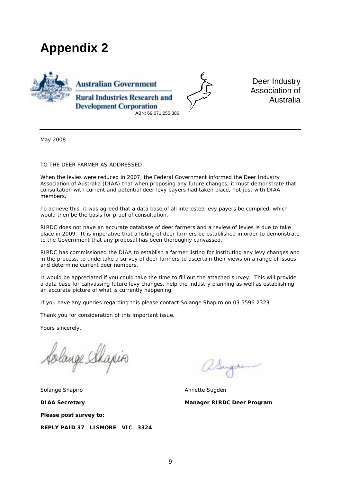### **Appendix 2**





Deer Industry Association of Australia

May 2008

#### TO THE DEER FARMER AS ADDRESSED

When the levies were reduced in 2007, the Federal Government informed the Deer Industry Association of Australia (DIAA) that when proposing any future changes, it must demonstrate that consultation with current and potential deer levy payers had taken place, not just with DIAA members.

To achieve this, it was agreed that a data base of all interested levy payers be compiled, which would then be the basis for proof of consultation.

RIRDC does not have an accurate database of deer farmers and a review of levies is due to take place in 2009. It is imperative that a listing of deer farmers be established in order to demonstrate to the Government that any proposal has been thoroughly canvassed.

RIRDC has commissioned the DIAA to establish a farmer listing for instituting any levy changes and in the process, to undertake a survey of deer farmers to ascertain their views on a range of issues and determine current deer numbers.

It would be appreciated if you could take the time to fill out the attached survey. This will provide a data base for canvassing future levy changes, help the industry planning as well as establishing an accurate picture of what is currently happening.

If you have any queries regarding this please contact Solange Shapiro on 03 5596 2323.

Thank you for consideration of this important issue.

Yours sincerely,

ange Shapin

Solange Shapiro **Annette Sugden** Annette Sugden **DIAA Secretary Manager RIRDC Deer Program Please post survey to: REPLY PAID 37 LISMORE VIC 3324**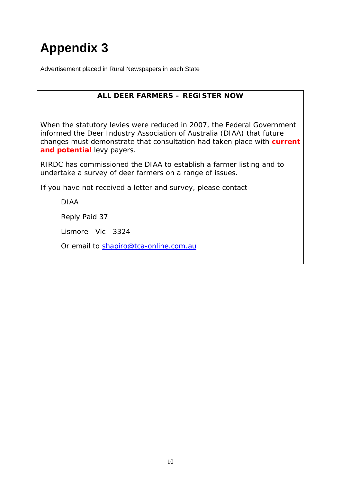## **Appendix 3**

Advertisement placed in Rural Newspapers in each State

#### **ALL DEER FARMERS – REGISTER NOW**

When the statutory levies were reduced in 2007, the Federal Government informed the Deer Industry Association of Australia (DIAA) that future changes must demonstrate that consultation had taken place with *current and potential* levy payers.

RIRDC has commissioned the DIAA to establish a farmer listing and to undertake a survey of deer farmers on a range of issues.

If you have not received a letter and survey, please contact

DIAA

Reply Paid 37

Lismore Vic 3324

Or email to [shapiro@tca-online.com.au](mailto:shapiro@tca-online.com.au)